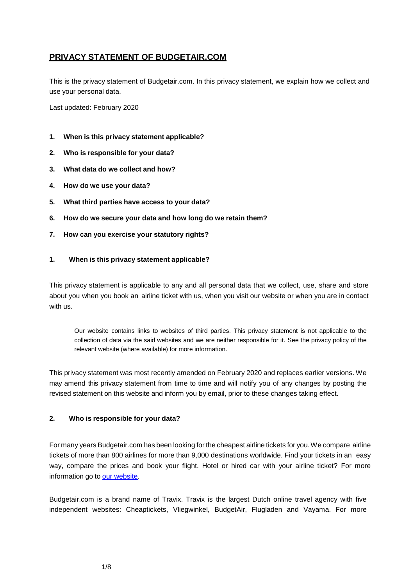# **PRIVACY STATEMENT OF BUDGETAIR.COM**

This is the privacy statement of Budgetair.com. In this privacy statement, we explain how we collect and use your personal data.

Last updated: February 2020

- **1. When is this privacy statement applicable?**
- **2. Who is responsible for your data?**
- **3. What data do we collect and how?**
- **4. How do we use your data?**
- **5. What third parties have access to your data?**
- **6. How do we secure your data and how long do we retain them?**
- **7. How can you exercise your statutory rights?**

## **1. When is this privacy statement applicable?**

This privacy statement is applicable to any and all personal data that we collect, use, share and store about you when you book an airline ticket with us, when you visit our website or when you are in contact with us.

Our website contains links to websites of third parties. This privacy statement is not applicable to the collection of data via the said websites and we are neither responsible for it. See the privacy policy of the relevant website (where available) for more information.

This privacy statement was most recently amended on February 2020 and replaces earlier versions. We may amend this privacy statement from time to time and will notify you of any changes by posting the revised statement on this website and inform you by email, prior to these changes taking effect.

## **2. Who is responsible for your data?**

For many years Budgetair.com has been looking for the cheapest airline tickets for you.We compare airline tickets of more than 800 airlines for more than 9,000 destinations worldwide. Find your tickets in an easy way, compare the prices and book your flight. Hotel or hired car with your airline ticket? For more information go to our [website.](https://www.budgetair.co.uk/)

Budgetair.com is a brand name of Travix. Travix is the largest Dutch online travel agency with five independent websites: Cheaptickets, Vliegwinkel, BudgetAir, Flugladen and Vayama. For more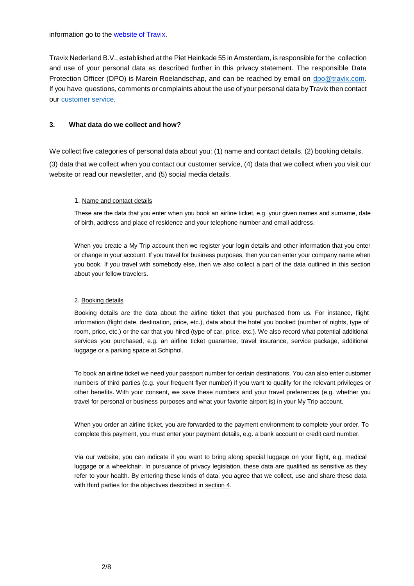information go to the [website](https://www.travix.com/) of Travix.

Travix Nederland B.V., established at the Piet Heinkade 55 in Amsterdam, is responsible for the collection and use of your personal data as described further in this privacy statement. The responsible Data Protection Officer (DPO) is Marein Roelandschap, and can be reached by email on [dpo@travix.com.](mailto:dpo@travix.com) If you have questions, comments or complaints about the use of your personal data by Travix then contact our [customer service.](https://www.budgetair.co.uk/customer-service)

## **3. What data do we collect and how?**

We collect five categories of personal data about you: (1) name and contact details, (2) booking details, (3) data that we collect when you contact our customer service, (4) data that we collect when you visit our website or read our newsletter, and (5) social media details.

### 1. Name and contact details

These are the data that you enter when you book an airline ticket, e.g. your given names and surname, date of birth, address and place of residence and your telephone number and email address.

When you create a My Trip account then we register your login details and other information that you enter or change in your account. If you travel for business purposes, then you can enter your company name when you book. If you travel with somebody else, then we also collect a part of the data outlined in this section about your fellow travelers.

### 2. Booking details

Booking details are the data about the airline ticket that you purchased from us. For instance, flight information (flight date, destination, price, etc.), data about the hotel you booked (number of nights, type of room, price, etc.) or the car that you hired (type of car, price, etc.). We also record what potential additional services you purchased, e.g. an airline ticket guarantee, travel insurance, service package, additional luggage or a parking space at Schiphol.

To book an airline ticket we need your passport number for certain destinations. You can also enter customer numbers of third parties (e.g. your frequent flyer number) if you want to qualify for the relevant privileges or other benefits. With your consent, we save these numbers and your travel preferences (e.g. whether you travel for personal or business purposes and what your favorite airport is) in your My Trip account.

When you order an airline ticket, you are forwarded to the payment environment to complete your order. To complete this payment, you must enter your payment details, e.g. a bank account or credit card number.

Via our website, you can indicate if you want to bring along special luggage on your flight, e.g. medical luggage or a wheelchair. In pursuance of privacy legislation, these data are qualified as sensitive as they refer to your health. By entering these kinds of data, you agree that we collect, use and share these data with third parties for the objectives described in section 4.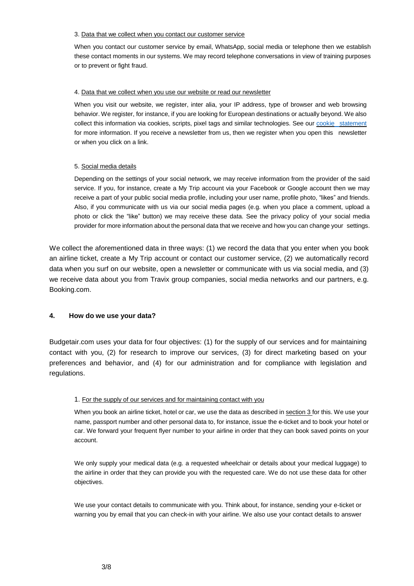#### 3. Data that we collect when you contact our customer service

When you contact our customer service by email, WhatsApp, social media or telephone then we establish these contact moments in our systems. We may record telephone conversations in view of training purposes or to prevent or fight fraud.

#### 4. Data that we collect when you use our website or read our newsletter

When you visit our website, we register, inter alia, your IP address, type of browser and web browsing behavior. We register, for instance, if you are looking for European destinations or actually beyond. We also collect this information via cookies, scripts, pixel tags and similar technologies. See our cookie [statement](https://www.budgetair.co.uk/conditions) for more information. If you receive a newsletter from us, then we register when you open this newsletter or when you click on a link.

### 5. Social media details

Depending on the settings of your social network, we may receive information from the provider of the said service. If you, for instance, create a My Trip account via your Facebook or Google account then we may receive a part of your public social media profile, including your user name, profile photo, "likes" and friends. Also, if you communicate with us via our social media pages (e.g. when you place a comment, upload a photo or click the "like" button) we may receive these data. See the privacy policy of your social media provider for more information about the personal data that we receive and how you can change your settings.

We collect the aforementioned data in three ways: (1) we record the data that you enter when you book an airline ticket, create a My Trip account or contact our customer service, (2) we automatically record data when you surf on our website, open a newsletter or communicate with us via social media, and (3) we receive data about you from Travix group companies, social media networks and our partners, e.g. Booking.com.

## **4. How do we use your data?**

Budgetair.com uses your data for four objectives: (1) for the supply of our services and for maintaining contact with you, (2) for research to improve our services, (3) for direct marketing based on your preferences and behavior, and (4) for our administration and for compliance with legislation and regulations.

### 1. For the supply of our services and for maintaining contact with you

When you book an airline ticket, hotel or car, we use the data as described in section 3 for this. We use your name, passport number and other personal data to, for instance, issue the e-ticket and to book your hotel or car. We forward your frequent flyer number to your airline in order that they can book saved points on your account.

We only supply your medical data (e.g. a requested wheelchair or details about your medical luggage) to the airline in order that they can provide you with the requested care. We do not use these data for other objectives.

We use your contact details to communicate with you. Think about, for instance, sending your e-ticket or warning you by email that you can check-in with your airline. We also use your contact details to answer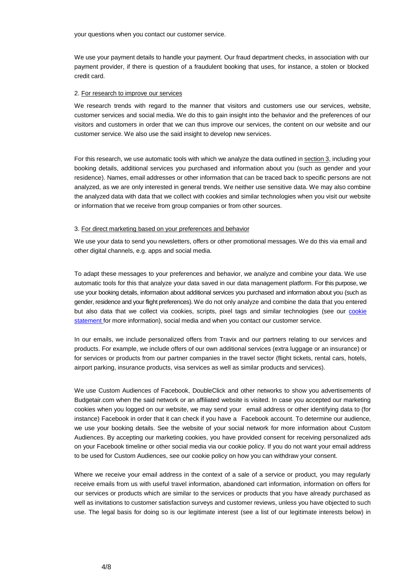your questions when you contact our customer service.

We use your payment details to handle your payment. Our fraud department checks, in association with our payment provider, if there is question of a fraudulent booking that uses, for instance, a stolen or blocked credit card.

#### 2. For research to improve our services

We research trends with regard to the manner that visitors and customers use our services, website, customer services and social media. We do this to gain insight into the behavior and the preferences of our visitors and customers in order that we can thus improve our services, the content on our website and our customer service. We also use the said insight to develop new services.

For this research, we use automatic tools with which we analyze the data outlined in section 3, including your booking details, additional services you purchased and information about you (such as gender and your residence). Names, email addresses or other information that can be traced back to specific persons are not analyzed, as we are only interested in general trends. We neither use sensitive data. We may also combine the analyzed data with data that we collect with cookies and similar technologies when you visit our website or information that we receive from group companies or from other sources.

#### 3. For direct marketing based on your preferences and behavior

We use your data to send you newsletters, offers or other promotional messages. We do this via email and other digital channels, e.g. apps and social media.

To adapt these messages to your preferences and behavior, we analyze and combine your data. We use automatic tools for this that analyze your data saved in our data management platform. For this purpose, we use your booking details, information about additional services you purchased and information about you (such as gender, residence and your flight preferences). We do not only analyze and combine the data that you entered but also data that we collect via [cookie](https://www.budgetair.co.uk/conditions)s, scripts, pixel tags and similar technologies (see our cookie [statement](https://www.budgetair.co.uk/conditions) for more information), social media and when you contact our customer service.

In our emails, we include personalized offers from Travix and our partners relating to our services and products. For example, we include offers of our own additional services (extra luggage or an insurance) or for services or products from our partner companies in the travel sector (flight tickets, rental cars, hotels, airport parking, insurance products, visa services as well as similar products and services).

We use Custom Audiences of Facebook, DoubleClick and other networks to show you advertisements of Budgetair.com when the said network or an affiliated website is visited. In case you accepted our marketing cookies when you logged on our website, we may send your email address or other identifying data to (for instance) Facebook in order that it can check if you have a Facebook account. To determine our audience, we use your booking details. See the website of your social network for more information about Custom Audiences. By accepting our marketing cookies, you have provided consent for receiving personalized ads on your Facebook timeline or other social media via our cookie policy. If you do not want your email address to be used for Custom Audiences, see our cookie policy on how you can withdraw your consent.

Where we receive your email address in the context of a sale of a service or product, you may regularly receive emails from us with useful travel information, abandoned cart information, information on offers for our services or products which are similar to the services or products that you have already purchased as well as invitations to customer satisfaction surveys and customer reviews, unless you have objected to such use. The legal basis for doing so is our legitimate interest (see a list of our legitimate interests below) in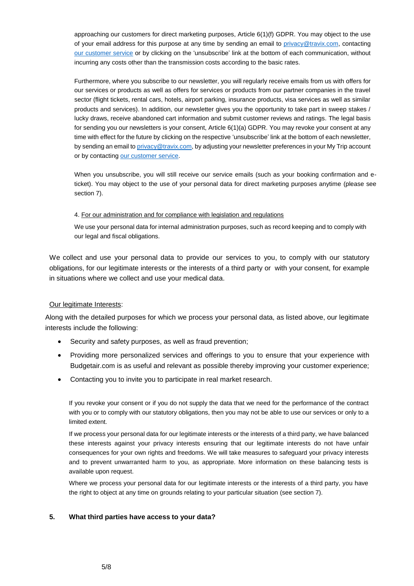approaching our customers for direct marketing purposes, Article 6(1)(f) GDPR. You may object to the use of your email address for this purpose at any time by sending an email to [privacy@travix.com,](mailto:privacy@travix.com) contacting [our customer service](https://www.budgetair.co.uk/customer-service) or by clicking on the 'unsubscribe' link at the bottom of each communication, without incurring any costs other than the transmission costs according to the basic rates.

Furthermore, where you subscribe to our newsletter, you will regularly receive emails from us with offers for our services or products as well as offers for services or products from our partner companies in the travel sector (flight tickets, rental cars, hotels, airport parking, insurance products, visa services as well as similar products and services). In addition, our newsletter gives you the opportunity to take part in sweep stakes / lucky draws, receive abandoned cart information and submit customer reviews and ratings. The legal basis for sending you our newsletters is your consent, Article 6(1)(a) GDPR. You may revoke your consent at any time with effect for the future by clicking on the respective 'unsubscribe' link at the bottom of each newsletter, by sending an email to [privacy@travix.com,](mailto:privacy@travix.com) by adjusting your newsletter preferences in your My Trip account or by contacting [our customer service.](https://www.budgetair.co.uk/customer-service)

When you unsubscribe, you will still receive our service emails (such as your booking confirmation and eticket). You may object to the use of your personal data for direct marketing purposes anytime (please see section 7).

### 4. For our administration and for compliance with legislation and regulations

We use your personal data for internal administration purposes, such as record keeping and to comply with our legal and fiscal obligations.

We collect and use your personal data to provide our services to you, to comply with our statutory obligations, for our legitimate interests or the interests of a third party or with your consent, for example in situations where we collect and use your medical data.

## Our legitimate Interests:

Along with the detailed purposes for which we process your personal data, as listed above, our legitimate interests include the following:

- Security and safety purposes, as well as fraud prevention;
- Providing more personalized services and offerings to you to ensure that your experience with Budgetair.com is as useful and relevant as possible thereby improving your customer experience;
- Contacting you to invite you to participate in real market research.

If you revoke your consent or if you do not supply the data that we need for the performance of the contract with you or to comply with our statutory obligations, then you may not be able to use our services or only to a limited extent.

If we process your personal data for our legitimate interests or the interests of a third party, we have balanced these interests against your privacy interests ensuring that our legitimate interests do not have unfair consequences for your own rights and freedoms. We will take measures to safeguard your privacy interests and to prevent unwarranted harm to you, as appropriate. More information on these balancing tests is available upon request.

Where we process your personal data for our legitimate interests or the interests of a third party, you have the right to object at any time on grounds relating to your particular situation (see section 7).

## **5. What third parties have access to your data?**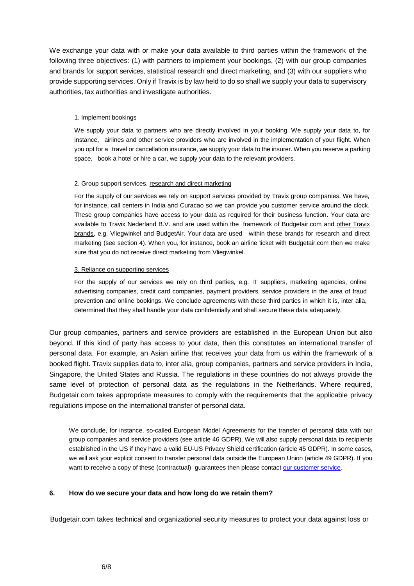We exchange your data with or make your data available to third parties within the framework of the following three objectives: (1) with partners to implement your bookings, (2) with our group companies and brands for support services, statistical research and direct marketing, and (3) with our suppliers who provide supporting services. Only if Travix is by law held to do so shall we supply your data to supervisory authorities, tax authorities and investigate authorities.

## 1. Implement bookings

We supply your data to partners who are directly involved in your booking. We supply your data to, for instance, airlines and other service providers who are involved in the implementation of your flight. When you opt for a travel or cancellation insurance, we supply your data to the insurer. When you reserve a parking space, book a hotel or hire a car, we supply your data to the relevant providers.

## 2. Group support services, research and direct marketing

For the supply of our services we rely on support services provided by Travix group companies. We have, for instance, call centers in India and Curacao so we can provide you customer service around the clock. These group companies have access to your data as required for their business function. Your data are available to Travix Nederland B.V. and are used within the framework of Budgetair.com and other [Travix](https://www.travix.com/) [brands,](https://www.travix.com/) e.g. Vliegwinkel and BudgetAir. Your data are used within these brands for research and direct marketing (see section 4). When you, for instance, book an airline ticket with Budgetair.com then we make sure that you do not receive direct marketing from Vliegwinkel.

### 3. Reliance on supporting services

For the supply of our services we rely on third parties, e.g. IT suppliers, marketing agencies, online advertising companies, credit card companies, payment providers, service providers in the area of fraud prevention and online bookings. We conclude agreements with these third parties in which it is, inter alia, determined that they shall handle your data confidentially and shall secure these data adequately.

Our group companies, partners and service providers are established in the European Union but also beyond. If this kind of party has access to your data, then this constitutes an international transfer of personal data. For example, an Asian airline that receives your data from us within the framework of a booked flight. Travix supplies data to, inter alia, group companies, partners and service providers in India, Singapore, the United States and Russia. The regulations in these countries do not always provide the same level of protection of personal data as the regulations in the Netherlands. Where required, Budgetair.com takes appropriate measures to comply with the requirements that the applicable privacy regulations impose on the international transfer of personal data.

We conclude, for instance, so-called European Model Agreements for the transfer of personal data with our group companies and service providers (see article 46 GDPR). We will also supply personal data to recipients established in the US if they have a valid EU-US Privacy Shield certification (article 45 GDPR). In some cases, we will ask your explicit consent to transfer personal data outside the European Union (article 49 GDPR). If you want to receive a copy of these (contractual) guarantees then please contact our [customer](https://www.budgetair.co.uk/customer-service) service.

## **6. How do we secure your data and how long do we retain them?**

Budgetair.com takes technical and organizational security measures to protect your data against loss or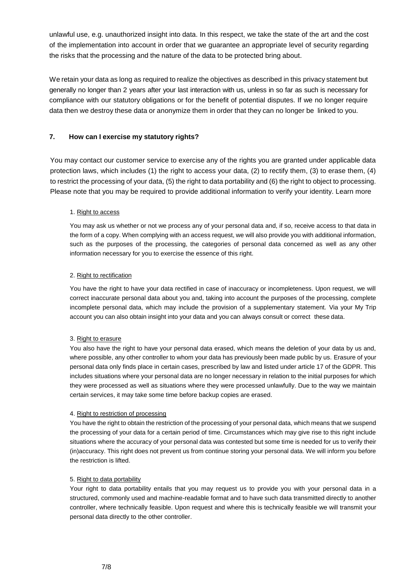unlawful use, e.g. unauthorized insight into data. In this respect, we take the state of the art and the cost of the implementation into account in order that we guarantee an appropriate level of security regarding the risks that the processing and the nature of the data to be protected bring about.

We retain your data as long as required to realize the objectives as described in this privacy statement but generally no longer than 2 years after your last interaction with us, unless in so far as such is necessary for compliance with our statutory obligations or for the benefit of potential disputes. If we no longer require data then we destroy these data or anonymize them in order that they can no longer be linked to you.

## **7. How can I exercise my statutory rights?**

You may contact our customer service to exercise any of the rights you are granted under applicable data protection laws, which includes (1) the right to access your data, (2) to rectify them, (3) to erase them, (4) to restrict the processing of your data, (5) the right to data portability and (6) the right to object to processing. Please note that you may be required to provide additional information to verify your identity. Learn more

## 1. Right to access

You may ask us whether or not we process any of your personal data and, if so, receive access to that data in the form of a copy. When complying with an access request, we will also provide you with additional information, such as the purposes of the processing, the categories of personal data concerned as well as any other information necessary for you to exercise the essence of this right.

## 2. Right to rectification

You have the right to have your data rectified in case of inaccuracy or incompleteness. Upon request, we will correct inaccurate personal data about you and, taking into account the purposes of the processing, complete incomplete personal data, which may include the provision of a supplementary statement. Via your My Trip account you can also obtain insight into your data and you can always consult or correct these data.

### 3. Right to erasure

You also have the right to have your personal data erased, which means the deletion of your data by us and, where possible, any other controller to whom your data has previously been made public by us. Erasure of your personal data only finds place in certain cases, prescribed by law and listed under article 17 of the GDPR. This includes situations where your personal data are no longer necessary in relation to the initial purposes for which they were processed as well as situations where they were processed unlawfully. Due to the way we maintain certain services, it may take some time before backup copies are erased.

### 4. Right to restriction of processing

You have the right to obtain the restriction of the processing of your personal data, which means that we suspend the processing of your data for a certain period of time. Circumstances which may give rise to this right include situations where the accuracy of your personal data was contested but some time is needed for us to verify their (in)accuracy. This right does not prevent us from continue storing your personal data. We will inform you before the restriction is lifted.

### 5. Right to data portability

Your right to data portability entails that you may request us to provide you with your personal data in a structured, commonly used and machine-readable format and to have such data transmitted directly to another controller, where technically feasible. Upon request and where this is technically feasible we will transmit your personal data directly to the other controller.